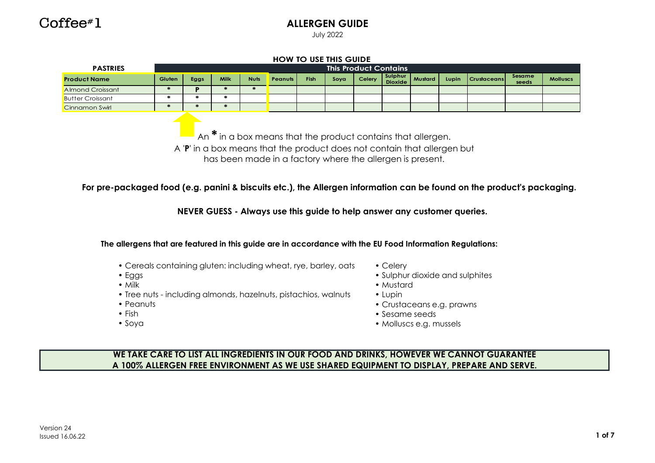

### **ALLERGEN GUIDE**

July 2022

| <b>PASTRIES</b>                                                                                                                                                                                                                     |               |               |                                   |               |                                                                                                                                                                                                         |             |      | <b>This Product Contains</b> |                           |                |       |                    |                 |                 |
|-------------------------------------------------------------------------------------------------------------------------------------------------------------------------------------------------------------------------------------|---------------|---------------|-----------------------------------|---------------|---------------------------------------------------------------------------------------------------------------------------------------------------------------------------------------------------------|-------------|------|------------------------------|---------------------------|----------------|-------|--------------------|-----------------|-----------------|
| <b>Product Name</b>                                                                                                                                                                                                                 | Gluten        | Eggs          | <b>Milk</b>                       | <b>Nuts</b>   | <b>Peanuts</b>                                                                                                                                                                                          | <b>Fish</b> | Soya | Celery                       | Sulphur<br><b>Dioxide</b> | <b>Mustard</b> | Lupin | <b>Crustaceans</b> | Sesame<br>seeds | <b>Molluscs</b> |
| <b>Almond Croissant</b>                                                                                                                                                                                                             | $\ast$        | P             | $\ast$                            | $\frac{1}{2}$ |                                                                                                                                                                                                         |             |      |                              |                           |                |       |                    |                 |                 |
| <b>Butter Croissant</b>                                                                                                                                                                                                             | $\frac{1}{2}$ | $\frac{1}{2}$ | $\frac{d\mathbf{r}}{d\mathbf{r}}$ |               |                                                                                                                                                                                                         |             |      |                              |                           |                |       |                    |                 |                 |
| Cinnamon Swirl                                                                                                                                                                                                                      | $\ast$        |               | $\ast$                            |               |                                                                                                                                                                                                         |             |      |                              |                           |                |       |                    |                 |                 |
|                                                                                                                                                                                                                                     |               |               |                                   |               | An $*$ in a box means that the product contains that allergen.<br>A 'P' in a box means that the product does not contain that allergen but<br>has been made in a factory where the allergen is present. |             |      |                              |                           |                |       |                    |                 |                 |
| For pre-packaged food (e.g. panini & biscuits etc.), the Allergen information can be found on the product's packaging.<br>The allergens that are featured in this guide are in accordance with the EU Food Information Regulations: |               |               |                                   |               | NEVER GUESS - Always use this guide to help answer any customer queries.                                                                                                                                |             |      |                              |                           |                |       |                    |                 |                 |

 $\mathbf{I}$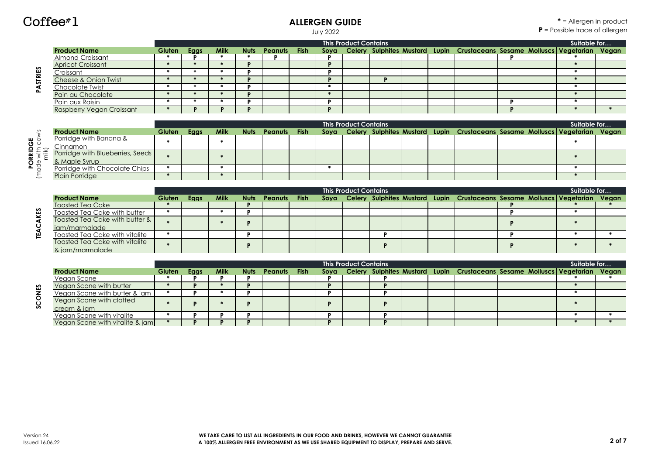# Coffee#1

### **ALLERGEN GUIDE**

July 2022

|        |                           |               |             |             |                   |  | <b>This Product Contains</b> |  |                                                                                  |  | Suitable for |  |
|--------|---------------------------|---------------|-------------|-------------|-------------------|--|------------------------------|--|----------------------------------------------------------------------------------|--|--------------|--|
|        | <b>Product Name</b>       | <b>Gluten</b> | <b>Eggs</b> | <b>Milk</b> | Nuts Peanuts Fish |  |                              |  | Soya Celery Sulphites Mustard Lupin Crustaceans Sesame Molluscs Vegetarian Vegan |  |              |  |
|        | <b>Almond Croissant</b>   |               |             |             |                   |  |                              |  |                                                                                  |  |              |  |
|        | <b>Apricot Croissant</b>  |               |             |             |                   |  |                              |  |                                                                                  |  |              |  |
|        | Croissant                 |               |             |             |                   |  |                              |  |                                                                                  |  |              |  |
| STRIES | Cheese & Onion Twist      |               |             |             |                   |  |                              |  |                                                                                  |  |              |  |
| Ϋ      | Chocolate Twist           |               |             |             |                   |  |                              |  |                                                                                  |  |              |  |
|        | Pain au Chocolate         |               |             |             |                   |  |                              |  |                                                                                  |  |              |  |
|        | Pain aux Raisin           |               |             |             |                   |  |                              |  |                                                                                  |  |              |  |
|        | Raspberry Vegan Croissant |               |             |             |                   |  |                              |  |                                                                                  |  |              |  |

|                                   |                                  |               |      |             |             |         |             | <b>This Product Contains</b> |  |                                                                                  |  | Suitable for |  |
|-----------------------------------|----------------------------------|---------------|------|-------------|-------------|---------|-------------|------------------------------|--|----------------------------------------------------------------------------------|--|--------------|--|
|                                   | <b>Product Name</b>              | <b>Gluten</b> | Eggs | <b>Milk</b> | <b>Nuts</b> | Peanuts | <b>Fish</b> |                              |  | Soya Celery Sulphites Mustard Lupin Crustaceans Sesame Molluscs Vegetarian Vegan |  |              |  |
| უ<br>შე                           | Porridge with Banana &           |               |      |             |             |         |             |                              |  |                                                                                  |  |              |  |
|                                   | Cinnamon                         |               |      |             |             |         |             |                              |  |                                                                                  |  |              |  |
| ื้≩ ⇒ี่≅ั                         | Porridge with Blueberries, Seeds |               |      |             |             |         |             |                              |  |                                                                                  |  |              |  |
| $\overline{Q}$ $\frac{\omega}{Q}$ | & Maple Syrup                    |               |      |             |             |         |             |                              |  |                                                                                  |  |              |  |
|                                   | Porridge with Chocolate Chips    |               |      |             |             |         |             |                              |  |                                                                                  |  |              |  |
|                                   | <b>Plain Porridge</b>            |               |      |             |             |         |             |                              |  |                                                                                  |  |              |  |

|                                |               |      |             |             |                |      | <b>This Product Contains</b> |  |                                                                                  |  | Suitable for |  |
|--------------------------------|---------------|------|-------------|-------------|----------------|------|------------------------------|--|----------------------------------------------------------------------------------|--|--------------|--|
| <b>Product Name</b>            | <b>Gluten</b> | Eaas | <b>Milk</b> | <b>Nuts</b> | <b>Peanuts</b> | Fish |                              |  | Soya Celery Sulphites Mustard Lupin Crustaceans Sesame Molluscs Vegetarian Vegan |  |              |  |
| <b>Toasted Tea Cake</b>        |               |      |             |             |                |      |                              |  |                                                                                  |  |              |  |
| Toasted Tea Cake with butter   |               |      |             |             |                |      |                              |  |                                                                                  |  |              |  |
| Toasted Tea Cake with butter & |               |      |             |             |                |      |                              |  |                                                                                  |  |              |  |
| jam/marmalade                  |               |      |             |             |                |      |                              |  |                                                                                  |  |              |  |
| Toasted Tea Cake with vitalite |               |      |             |             |                |      |                              |  |                                                                                  |  |              |  |
| Toasted Tea Cake with vitalite |               |      |             |             |                |      |                              |  |                                                                                  |  |              |  |
| & jam/marmalade                |               |      |             |             |                |      |                              |  |                                                                                  |  |              |  |

|                                 |               |      |             |             |                |      |      | <b>This Product Contains</b> |  |                                                                             |  | Suitable for |  |
|---------------------------------|---------------|------|-------------|-------------|----------------|------|------|------------------------------|--|-----------------------------------------------------------------------------|--|--------------|--|
| <b>Product Name</b>             | <b>Gluten</b> | Eggs | <b>Milk</b> | <b>Nuts</b> | <b>Peanuts</b> | Fish | Soya |                              |  | Celery Sulphites Mustard Lupin Crustaceans Sesame Molluscs Vegetarian Vegan |  |              |  |
| Vegan Scone                     |               |      |             |             |                |      |      |                              |  |                                                                             |  |              |  |
| <b>Vegan Scone with butter</b>  |               |      |             |             |                |      |      |                              |  |                                                                             |  |              |  |
| Vegan Scone with butter & jam   |               |      |             |             |                |      |      |                              |  |                                                                             |  |              |  |
| Vegan Scone with clotted        |               |      |             |             |                |      |      |                              |  |                                                                             |  |              |  |
| cream & iam                     |               |      |             |             |                |      |      |                              |  |                                                                             |  |              |  |
| Vegan Scone with vitalite       |               |      |             |             |                |      |      |                              |  |                                                                             |  |              |  |
| Vegan Scone with vitalite & jam |               |      |             |             |                |      |      |                              |  |                                                                             |  |              |  |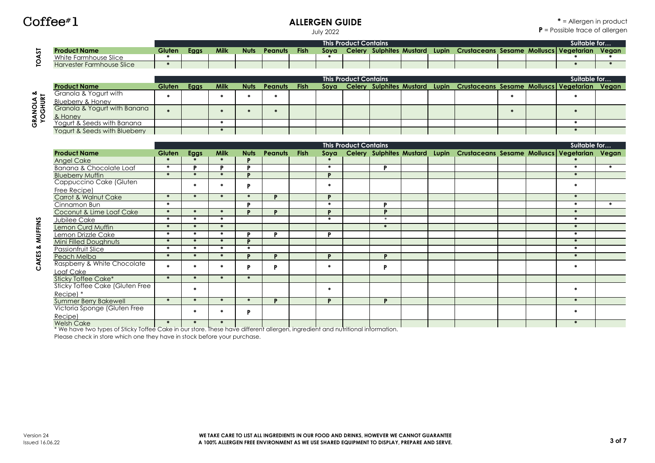#### **ALLERGEN GUIDE**

**\*** = Allergen in product **P** = Possible trace of allergen

July 2022

|         |                           |        |      |             |      |                |             |      | <b>This Product Contains</b> |                   |       |                    |  | Suitable for…         |       |
|---------|---------------------------|--------|------|-------------|------|----------------|-------------|------|------------------------------|-------------------|-------|--------------------|--|-----------------------|-------|
| -<br>in | <b>Product Name</b>       | Gluten | Eggs | <b>Milk</b> | Nuts | <b>Peanuts</b> | <b>Fish</b> | Sova | <b>Celery</b>                | Sulphites Mustard | Lupin | Crustaceans Sesame |  | Molluscs   Vegetarian | Vegan |
|         | White Farmhouse Slice     |        |      |             |      |                |             |      |                              |                   |       |                    |  |                       |       |
|         | Harvester Farmhouse Slice |        |      |             |      |                |             |      |                              |                   |       |                    |  |                       |       |

|       |                               |               |      |             |             |              |  | <b>This Product Contains</b> |  |                                                                                  |  | Suitable for |  |
|-------|-------------------------------|---------------|------|-------------|-------------|--------------|--|------------------------------|--|----------------------------------------------------------------------------------|--|--------------|--|
|       | <b>Product Name</b>           | <b>Gluten</b> | Eaas | <b>Milk</b> | <b>Nuts</b> | Peanuts Fish |  |                              |  | Soya Celery Sulphites Mustard Lupin Crustaceans Sesame Molluscs Vegetarian Vegan |  |              |  |
| ี∾งี่ | Granola & Yogurt with         |               |      |             |             |              |  |                              |  |                                                                                  |  |              |  |
|       | Blueberry & Honey             |               |      |             |             |              |  |                              |  |                                                                                  |  |              |  |
| 호 호   | Granola & Yogurt with Banana  |               |      |             |             |              |  |                              |  |                                                                                  |  |              |  |
| ึ ≴ 9 | & Honey                       |               |      |             |             |              |  |                              |  |                                                                                  |  |              |  |
| ပ     | Yogurt & Seeds with Banana    |               |      |             |             |              |  |                              |  |                                                                                  |  |              |  |
|       | Yogurt & Seeds with Blueberry |               |      |             |             |              |  |                              |  |                                                                                  |  |              |  |

|                                                                                                                                |               |               |               |               |                |             |              | <b>This Product Contains</b> |               |  |                                                                             |  | Suitable for  |               |
|--------------------------------------------------------------------------------------------------------------------------------|---------------|---------------|---------------|---------------|----------------|-------------|--------------|------------------------------|---------------|--|-----------------------------------------------------------------------------|--|---------------|---------------|
| <b>Product Name</b>                                                                                                            | Gluten        | Eggs          | <b>Milk</b>   | <b>Nuts</b>   | <b>Peanuts</b> | <b>Fish</b> | Soya         |                              |               |  | Celery Sulphites Mustard Lupin Crustaceans Sesame Molluscs Vegetarian Vegan |  |               |               |
| <b>Angel Cake</b>                                                                                                              |               | $\mathbf{r}$  | $\ast$        | n             |                |             |              |                              |               |  |                                                                             |  |               |               |
| Banana & Chocolate Loaf                                                                                                        | *             | D             | P             | D             |                |             | $\ast$       |                              | D             |  |                                                                             |  | $\bullet$     | $\frac{1}{2}$ |
| <b>Blueberry Muffin</b>                                                                                                        | $\star$       | $\star$       | $\ast$        | D             |                |             | D            |                              |               |  |                                                                             |  | $\ast$        |               |
| Cappuccino Cake (Gluten                                                                                                        |               |               | <b>SK</b>     | D             |                |             | $\mathbf{r}$ |                              |               |  |                                                                             |  | $\mathbf{r}$  |               |
| Free Recipe)                                                                                                                   |               |               |               |               |                |             |              |                              |               |  |                                                                             |  |               |               |
| Carrot & Walnut Cake                                                                                                           | $\ast$        | $\ast$        | $\ast$        | $\frac{1}{2}$ | D              |             | $\mathbf{D}$ |                              |               |  |                                                                             |  | $\ast$        |               |
| Cinnamon Bun                                                                                                                   | $\ast$        |               |               | D             |                |             | $\ast$       |                              | D             |  |                                                                             |  | $\bullet$     | $\mathbf{a}$  |
| Coconut & Lime Loaf Cake                                                                                                       | $\frac{1}{2}$ | $\frac{1}{2}$ | $\ast$        | D             | D              |             | D            |                              | $\mathbf{D}$  |  |                                                                             |  | $\ast$        |               |
| Jubilee Cake                                                                                                                   | $\mathbf{r}$  | $\mathbf{r}$  | $\mathbf{a}$  |               |                |             | $\mathbf{r}$ |                              | $\star$       |  |                                                                             |  | $\ast$        |               |
| Lemon Curd Muffin                                                                                                              | $\star$       | $\frac{1}{2}$ | $\ast$        |               |                |             |              |                              | $\frac{1}{2}$ |  |                                                                             |  | $\ast$        |               |
| Lemon Drizzle Cake                                                                                                             | $\bullet$     | $\frac{1}{2}$ | $\frac{1}{2}$ | D             | D              |             | D            |                              |               |  |                                                                             |  | *             |               |
| Mini Filled Doughnuts                                                                                                          | $\frac{1}{2}$ | $\mathcal{M}$ | $\frac{1}{2}$ | D             |                |             |              |                              |               |  |                                                                             |  | $\ast$        |               |
| <b>Passionfruit Slice</b>                                                                                                      | $\bullet$     | $\frac{1}{2}$ | $\approx$     | $\mathcal{R}$ |                |             |              |                              |               |  |                                                                             |  | *             |               |
| Peach Melba                                                                                                                    | $\star$       | $\ast$        | $\ast$        | D             | D              |             | D            |                              | D             |  |                                                                             |  | $\ast$        |               |
| Raspberry & White Chocolate                                                                                                    | $\mathbf{r}$  |               | $\mathbf{a}$  | D             | Þ              |             | $\mathbf{r}$ |                              | P             |  |                                                                             |  | $\frac{1}{2}$ |               |
| Loaf Cake                                                                                                                      |               |               |               |               |                |             |              |                              |               |  |                                                                             |  |               |               |
| Sticky Toffee Cake*                                                                                                            | $\ast$        | $\ast$        | $\approx$     | $\frac{1}{2}$ |                |             |              |                              |               |  |                                                                             |  |               |               |
| <b>Sticky Toffee Cake (Gluten Free</b>                                                                                         |               | $\mathbf{a}$  |               |               |                |             |              |                              |               |  |                                                                             |  | 来             |               |
| Recipel *                                                                                                                      |               |               |               |               |                |             |              |                              |               |  |                                                                             |  |               |               |
| <b>Summer Berry Bakewell</b>                                                                                                   | $\ast$        | $\ast$        | $\ast$        | $\ast$        | D              |             | D            |                              | Þ             |  |                                                                             |  | $\ast$        |               |
| Victoria Sponge (Gluten Free                                                                                                   |               | $\mathbf{r}$  | $\frac{1}{2}$ | D             |                |             |              |                              |               |  |                                                                             |  | $\frac{1}{2}$ |               |
| Recipe)                                                                                                                        |               |               |               |               |                |             |              |                              |               |  |                                                                             |  |               |               |
| <b>Welsh Cake</b>                                                                                                              |               |               | $\mathbf{m}$  |               |                |             |              |                              |               |  |                                                                             |  |               |               |
| * We have two types of Sticky Toffee Cake in our store. These have different allergen, ingredient and nutritional information. |               |               |               |               |                |             |              |                              |               |  |                                                                             |  |               |               |

Please check in store which one they have in stock before your purchase.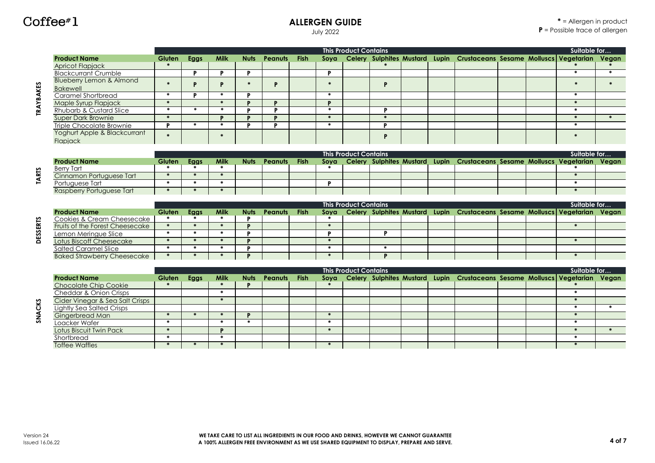### **ALLERGEN GUIDE**

July 2022

|                  |                                     |               |                   |               |              |                |             |                      | <b>This Product Contains</b> |                                |  |                                                                                  |  | Suitable for  |               |
|------------------|-------------------------------------|---------------|-------------------|---------------|--------------|----------------|-------------|----------------------|------------------------------|--------------------------------|--|----------------------------------------------------------------------------------|--|---------------|---------------|
|                  | <b>Product Name</b>                 | Gluten        | Eggs              | <b>Milk</b>   | <b>Nuts</b>  | Peanuts        | <b>Fish</b> | Sova                 |                              |                                |  | Celery Sulphites Mustard Lupin Crustaceans Sesame Molluscs Vegetarian            |  |               | Vegan         |
|                  | Apricot Flapjack                    |               |                   |               |              |                |             |                      |                              |                                |  |                                                                                  |  |               |               |
|                  | <b>Blackcurrant Crumble</b>         |               | P                 | Þ             | Þ            |                |             | P                    |                              |                                |  |                                                                                  |  | $\ast$        | $\frac{1}{2}$ |
|                  | <b>Blueberry Lemon &amp; Almond</b> |               |                   |               | $\mathbf{a}$ |                |             | $\mathbf{m}$         |                              |                                |  |                                                                                  |  | sk.           | sis.          |
|                  | <b>Bakewell</b>                     |               | P                 | P             |              | P              |             |                      |                              | P                              |  |                                                                                  |  |               |               |
|                  | Caramel Shortbread                  | $\star$       | D                 | $\frac{1}{2}$ | D            |                |             | $\ast$               |                              |                                |  |                                                                                  |  | *             |               |
| <b>TRAYBAKES</b> | Maple Syrup Flapjack                | $\ast$        |                   | $\mathcal{R}$ | D            | D              |             | Þ                    |                              |                                |  |                                                                                  |  | *             |               |
|                  | <b>Rhubarb &amp; Custard Slice</b>  | $\bullet$     | $\ast$            | $\approx$     | в            | D              |             | $\ast$               |                              | <b>P</b>                       |  |                                                                                  |  | $\ast$        |               |
|                  | <b>Super Dark Brownie</b>           | $\mathbf{m}$  |                   | $\mathbf{D}$  |              | D              |             | $\ast$               |                              | $\ast$                         |  |                                                                                  |  | $\ast$        | $\star$       |
|                  | Triple Chocolate Brownie            | Þ             | *                 | $\ast$        | D            | Þ              |             | $\bullet$            |                              | P                              |  |                                                                                  |  | *             |               |
|                  | Yoghurt Apple & Blackcurrant        |               |                   | $\star$       |              |                |             |                      |                              | P                              |  |                                                                                  |  | $\frac{1}{2}$ |               |
|                  | <b>Flapiack</b>                     |               |                   |               |              |                |             |                      |                              |                                |  |                                                                                  |  |               |               |
|                  |                                     |               |                   |               |              |                |             |                      |                              |                                |  |                                                                                  |  |               |               |
|                  |                                     |               |                   |               |              |                |             |                      | <b>This Product Contains</b> |                                |  |                                                                                  |  | Suitable for  |               |
|                  | <b>Product Name</b>                 | Gluten        | Eggs<br><b>SK</b> | <b>Milk</b>   | <b>Nuts</b>  | Peanuts        | <b>Fish</b> | Sova<br>$\mathbf{r}$ |                              |                                |  | Celery Sulphites Mustard Lupin Crustaceans Sesame Molluscs Vegetarian            |  |               | Veaan         |
|                  | <b>Berry Tart</b>                   | $\star$       | $\ast$            | $\ast$        |              |                |             |                      |                              |                                |  |                                                                                  |  | $\ast$        |               |
| <b>TARTS</b>     | Cinnamon Portuguese Tart            | *             | *                 | $\frac{1}{2}$ |              |                |             |                      |                              |                                |  |                                                                                  |  | *             |               |
|                  | Portuauese Tart                     | $\star$       | $\frac{1}{2}$     | $\frac{1}{2}$ |              |                |             | Þ                    |                              |                                |  |                                                                                  |  | $\star$       |               |
|                  | Raspberry Portuguese Tart           |               |                   |               |              |                |             |                      |                              |                                |  |                                                                                  |  |               |               |
|                  |                                     |               |                   |               |              |                |             |                      | <b>This Product Contains</b> |                                |  |                                                                                  |  | Suitable for  |               |
|                  | <b>Product Name</b>                 | Gluten        | Eggs              | <b>Milk</b>   | <b>Nuts</b>  | <b>Peanuts</b> | <b>Fish</b> | Sova                 |                              | Celery Sulphites Mustard Lupin |  | <b>Crustaceans Sesame Molluscs Veaetarian</b>                                    |  |               | Veaan         |
|                  | Cookies & Cream Cheesecake          | $\bullet$     | $\bullet$         | $\frac{1}{2}$ | D            |                |             | $\bullet$            |                              |                                |  |                                                                                  |  |               |               |
|                  | Fruits of the Forest Cheesecake     | $\ast$        | $\ast$            | $\frac{1}{2}$ | D            |                |             | $\ast$               |                              |                                |  |                                                                                  |  | $\ast$        |               |
| ESSERTS          | Lemon Meringue Slice                | $\ast$        | $\bullet$         | $\approx$     | D            |                |             | Þ                    |                              | <b>P</b>                       |  |                                                                                  |  |               |               |
| o                | Lotus Biscoff Cheesecake            | *             | $\ast$            | $\approx$     | n            |                |             | $\ast$               |                              |                                |  |                                                                                  |  | $\ast$        |               |
|                  | <b>Salted Caramel Slice</b>         | $\ast$        | $\ast$            | $\frac{1}{2}$ | D            |                |             | $\bullet$            |                              | *                              |  |                                                                                  |  |               |               |
|                  | <b>Baked Strawberry Cheesecake</b>  | $\ast$        | $\star$           |               | D            |                |             | $\ast$               |                              | D                              |  |                                                                                  |  | $\ast$        |               |
|                  |                                     |               |                   |               |              |                |             |                      |                              |                                |  |                                                                                  |  |               |               |
|                  |                                     |               |                   |               |              |                |             |                      | <b>This Product Contains</b> |                                |  |                                                                                  |  | Suitable for  |               |
|                  | <b>Product Name</b>                 | <b>Gluten</b> | Eggs              | <b>Milk</b>   | <b>Nuts</b>  | Peanuts        | <b>Fish</b> |                      |                              |                                |  | Soya Celery Sulphites Mustard Lupin Crustaceans Sesame Molluscs Vegetarian Vegan |  |               |               |

Chocolate Chip Cookie **\* \* P \* \*** Cheddar & Onion Crisps **\* \*** Cider Vinegar & Sea Salt Crisps **\* \*** Lightly Sea Salted Crisps **\* \*** Gingerbread Man **\* \* \* P \* \*** Loacker Wafer **\* \* \* \* \***

Shortbread **\* \* \*** Toffee Waffles **\* \* \* \* \***

Lotus Biscuit Twin Pack **\* P \* \* \***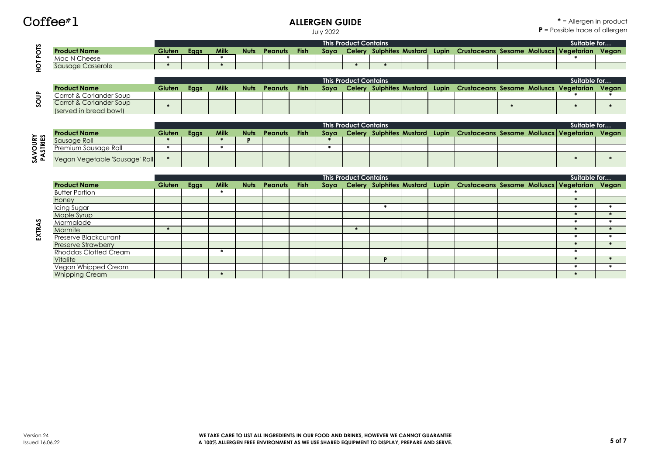#### **ALLERGEN GUIDE**

**\*** = Allergen in product **P** = Possible trace of allergen

July 2022

| n             |                     |        |     |             |      |         |             |      | This Product Contains |                   |       |                                        |  | Suitable for |       |
|---------------|---------------------|--------|-----|-------------|------|---------|-------------|------|-----------------------|-------------------|-------|----------------------------------------|--|--------------|-------|
|               | <b>Product Name</b> | Gluten | Egg | <b>Milk</b> | Nuts | Peanuts | <b>Fish</b> | Soya | <b>Celery</b>         | Sulphites Mustard | Lupin | Crustaceans Sesame Molluscs Vegetarian |  |              | Vegan |
| <b>L</b><br>- | Mac N Cheese        |        |     |             |      |         |             |      |                       |                   |       |                                        |  |              |       |
|               | Sausage Casserole   |        |     |             |      |         |             |      |                       |                   |       |                                        |  |              |       |
|               |                     |        |     |             |      |         |             |      |                       |                   |       |                                        |  |              |       |

|   |                         |        |      |             |             |                |             |      | <b>This Product Contains</b> |  |                                                                             |  | Suitable for |  |
|---|-------------------------|--------|------|-------------|-------------|----------------|-------------|------|------------------------------|--|-----------------------------------------------------------------------------|--|--------------|--|
|   | <b>Product Name</b>     | Gluten | Eggs | <b>Milk</b> | <b>Nuts</b> | <b>Peanuts</b> | <b>Fish</b> | Sova |                              |  | Celery Sulphites Mustard Lupin Crustaceans Sesame Molluscs Vegetarian Vegan |  |              |  |
| உ | Carrot & Coriander Soup |        |      |             |             |                |             |      |                              |  |                                                                             |  |              |  |
| n | Carrot & Coriander Soup |        |      |             |             |                |             |      |                              |  |                                                                             |  |              |  |
|   | (served in bread bowl)  |        |      |             |             |                |             |      |                              |  |                                                                             |  |              |  |

| <b>SAVOURY<br/>PASTRIES</b> | soup | HOT POTS |
|-----------------------------|------|----------|

EXTRAS

|                                |        |      |             |             |                |             |      | <b>This Product Contains</b> |  |                                                                             |  | Suitable for |  |  |
|--------------------------------|--------|------|-------------|-------------|----------------|-------------|------|------------------------------|--|-----------------------------------------------------------------------------|--|--------------|--|--|
| <b>Product Name</b>            | Gluten | Eggs | <b>Milk</b> | <b>Nuts</b> | <b>Peanuts</b> | <b>Fish</b> | Soya |                              |  | Celery Sulphites Mustard Lupin Crustaceans Sesame Molluscs Vegetarian Vegan |  |              |  |  |
| Sausage Roll                   |        |      |             |             |                |             |      |                              |  |                                                                             |  |              |  |  |
| Premium Sausage Roll           |        |      |             |             |                |             |      |                              |  |                                                                             |  |              |  |  |
| Vegan Vegetable 'Sausage' Roll |        |      |             |             |                |             |      |                              |  |                                                                             |  |              |  |  |

|                              |        |      |             |             |         |             |      | <b>This Product Contains</b> |  |                                                                             |  | Suitable for |  |
|------------------------------|--------|------|-------------|-------------|---------|-------------|------|------------------------------|--|-----------------------------------------------------------------------------|--|--------------|--|
| <b>Product Name</b>          | Gluten | Eggs | <b>Milk</b> | <b>Nuts</b> | Peanuts | <b>Fish</b> | Soya |                              |  | Celery Sulphites Mustard Lupin Crustaceans Sesame Molluscs Vegetarian Vegan |  |              |  |
| <b>Butter Portion</b>        |        |      |             |             |         |             |      |                              |  |                                                                             |  |              |  |
| Honey                        |        |      |             |             |         |             |      |                              |  |                                                                             |  |              |  |
| Icing Sugar                  |        |      |             |             |         |             |      |                              |  |                                                                             |  |              |  |
| Maple Syrup                  |        |      |             |             |         |             |      |                              |  |                                                                             |  |              |  |
| Marmalade                    |        |      |             |             |         |             |      |                              |  |                                                                             |  |              |  |
| Marmite                      |        |      |             |             |         |             |      |                              |  |                                                                             |  |              |  |
| Preserve Blackcurrant        |        |      |             |             |         |             |      |                              |  |                                                                             |  |              |  |
| <b>Preserve Strawberry</b>   |        |      |             |             |         |             |      |                              |  |                                                                             |  |              |  |
| <b>Rhoddas Clotted Cream</b> |        |      |             |             |         |             |      |                              |  |                                                                             |  |              |  |
| Vitalite                     |        |      |             |             |         |             |      |                              |  |                                                                             |  |              |  |
| Vegan Whipped Cream          |        |      |             |             |         |             |      |                              |  |                                                                             |  |              |  |
| <b>Whipping Cream</b>        |        |      |             |             |         |             |      |                              |  |                                                                             |  |              |  |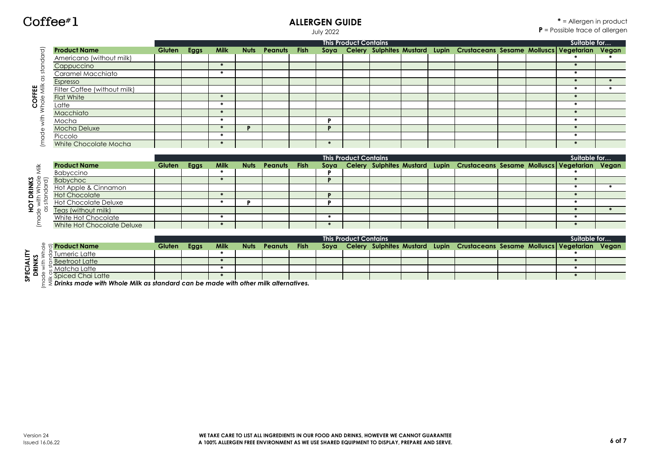**HOT DRINKS**

HOT DRINKS

#### **ALLERGEN GUIDE**

July 2022

|                              |                              |             |             |                   |  | <b>This Product Contains</b> |  |                                                                                  |  | Suitable for |  |
|------------------------------|------------------------------|-------------|-------------|-------------------|--|------------------------------|--|----------------------------------------------------------------------------------|--|--------------|--|
| তি                           | <b>Product Name</b>          | Gluten Eggs | <b>Milk</b> | Nuts Peanuts Fish |  |                              |  | Soya Celery Sulphites Mustard Lupin Crustaceans Sesame Molluscs Vegetarian Vegan |  |              |  |
|                              | Americano (without milk)     |             |             |                   |  |                              |  |                                                                                  |  |              |  |
|                              | Cappuccino                   |             |             |                   |  |                              |  |                                                                                  |  |              |  |
|                              | Caramel Macchiato            |             |             |                   |  |                              |  |                                                                                  |  |              |  |
|                              | Espresso                     |             |             |                   |  |                              |  |                                                                                  |  |              |  |
|                              | Filter Coffee (without milk) |             |             |                   |  |                              |  |                                                                                  |  |              |  |
|                              | <b>Flat White</b>            |             |             |                   |  |                              |  |                                                                                  |  |              |  |
| COFFEE<br><i>I</i> hole Milk | Latte                        |             |             |                   |  |                              |  |                                                                                  |  |              |  |
|                              | Macchiato                    |             |             |                   |  |                              |  |                                                                                  |  |              |  |
|                              | Mocha                        |             |             |                   |  |                              |  |                                                                                  |  |              |  |
|                              | Mocha Deluxe                 |             |             |                   |  |                              |  |                                                                                  |  |              |  |
|                              | Piccolo                      |             |             |                   |  |                              |  |                                                                                  |  |              |  |
|                              | White Chocolate Mocha        |             |             |                   |  |                              |  |                                                                                  |  |              |  |

|                         |                             |             |      |                   |  | <b>This Product Contains</b> |  |                                                                                  |  | Suitable for |  |
|-------------------------|-----------------------------|-------------|------|-------------------|--|------------------------------|--|----------------------------------------------------------------------------------|--|--------------|--|
| ≚                       | <b>Product Name</b>         | Gluten Eggs | Milk | Nuts Peanuts Fish |  |                              |  | Soya Celery Sulphites Mustard Lupin Crustaceans Sesame Molluscs Vegetarian Vegan |  |              |  |
|                         | Babyccino                   |             |      |                   |  |                              |  |                                                                                  |  |              |  |
| $rac{6}{5}$ $rac{1}{2}$ | <b>Babychoc</b>             |             |      |                   |  |                              |  |                                                                                  |  |              |  |
| § ≹                     | Hot Apple & Cinnamon        |             |      |                   |  |                              |  |                                                                                  |  |              |  |
|                         | <b>Hot Chocolate</b>        |             |      |                   |  |                              |  |                                                                                  |  |              |  |
| with<br>star            | <b>Hot Chocolate Deluxe</b> |             |      |                   |  |                              |  |                                                                                  |  |              |  |
| $\circ$ 8               | Teas (without milk)         |             |      |                   |  |                              |  |                                                                                  |  |              |  |
|                         | White Hot Chocolate         |             |      |                   |  |                              |  |                                                                                  |  |              |  |
|                         | White Hot Chocolate Deluxe  |             |      |                   |  |                              |  |                                                                                  |  |              |  |

|                       |                                                                                               |               | <b>This Product Contains</b> |             |             |         |             |      |  |  |  |  |                                                                             |  |  |  | Suitable for |
|-----------------------|-----------------------------------------------------------------------------------------------|---------------|------------------------------|-------------|-------------|---------|-------------|------|--|--|--|--|-----------------------------------------------------------------------------|--|--|--|--------------|
|                       | ੇ ਰ Product Name                                                                              | <b>Gluten</b> | Eggs                         | <b>Milk</b> | <b>Nuts</b> | Peanuts | <b>Fish</b> | Soya |  |  |  |  | Celery Sulphites Mustard Lupin Crustaceans Sesame Molluscs Vegetarian Vegan |  |  |  |              |
| ≻                     | Tumeric Latte                                                                                 |               |                              |             |             |         |             |      |  |  |  |  |                                                                             |  |  |  |              |
|                       | <b>Beetroot Latte</b>                                                                         |               |                              |             |             |         |             |      |  |  |  |  |                                                                             |  |  |  |              |
|                       | Matcha Latte                                                                                  |               |                              |             |             |         |             |      |  |  |  |  |                                                                             |  |  |  |              |
| မှား ဓာမ္<br><i>ज</i> | Spiced Chai Latte                                                                             |               |                              |             |             |         |             |      |  |  |  |  |                                                                             |  |  |  |              |
|                       | $\bar{\xi}$ Drinks made with Whole Milk as standard can be made with other milk alternatives. |               |                              |             |             |         |             |      |  |  |  |  |                                                                             |  |  |  |              |